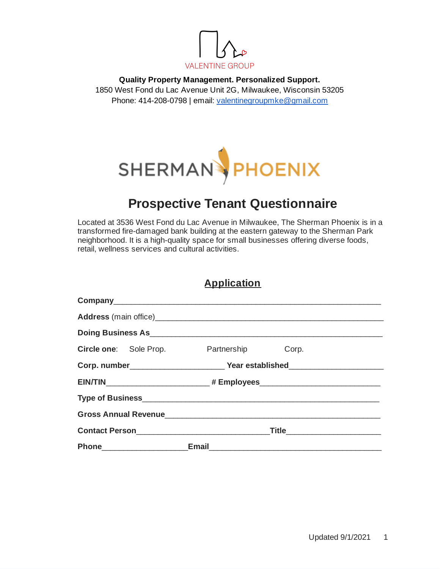

**Quality Property Management. Personalized Support.** 1850 West Fond du Lac Avenue Unit 2G, Milwaukee, Wisconsin 53205 Phone: 414-208-0798 | email: [valentinegroupmke@gmail.com](mailto:valentinegroupmke@gmail.com)



# **Prospective Tenant Questionnaire**

Located at 3536 West Fond du Lac Avenue in Milwaukee, The Sherman Phoenix is in a transformed fire-damaged bank building at the eastern gateway to the Sherman Park neighborhood. It is a high-quality space for small businesses offering diverse foods, retail, wellness services and cultural activities.

| <b>Application</b> |
|--------------------|
|                    |

| <b>Circle one:</b> Sole Prop.                                                                                                                                                  | Partnership | Corp.                          |
|--------------------------------------------------------------------------------------------------------------------------------------------------------------------------------|-------------|--------------------------------|
|                                                                                                                                                                                |             |                                |
|                                                                                                                                                                                |             |                                |
|                                                                                                                                                                                |             |                                |
|                                                                                                                                                                                |             |                                |
|                                                                                                                                                                                |             | Title_________________________ |
| Phone <b>Email Email Email Email Email Email Email Email Email Email Email Email Email Email Email Email Email Email Email Email Email Email Email Email Email Email Email</b> |             |                                |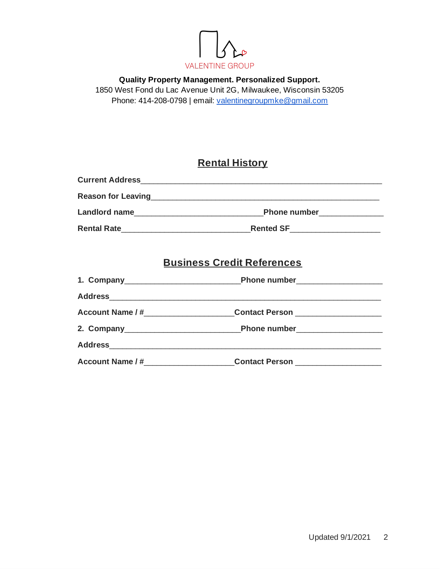

**Quality Property Management. Personalized Support.** 1850 West Fond du Lac Avenue Unit 2G, Milwaukee, Wisconsin 53205 Phone: 414-208-0798 | email: [valentinegroupmke@gmail.com](mailto:valentinegroupmke@gmail.com)

## **Rental History**

| <b>Current Address</b>    |                     |
|---------------------------|---------------------|
| <b>Reason for Leaving</b> |                     |
| <b>Landlord name</b>      | <b>Phone number</b> |
| <b>Rental Rate</b>        | <b>Rented SF</b>    |

## **Business Credit References**

| <b>Address</b><br>the control of the control of the control of the control of the control of the control of the control of the control of the control of the control of the control of the control of the control of the control of the control |                       |  |
|-------------------------------------------------------------------------------------------------------------------------------------------------------------------------------------------------------------------------------------------------|-----------------------|--|
| <b>Account Name / #</b>                                                                                                                                                                                                                         | <b>Contact Person</b> |  |
|                                                                                                                                                                                                                                                 |                       |  |
| <b>Address</b>                                                                                                                                                                                                                                  |                       |  |
| <b>Account Name / #</b>                                                                                                                                                                                                                         | <b>Contact Person</b> |  |